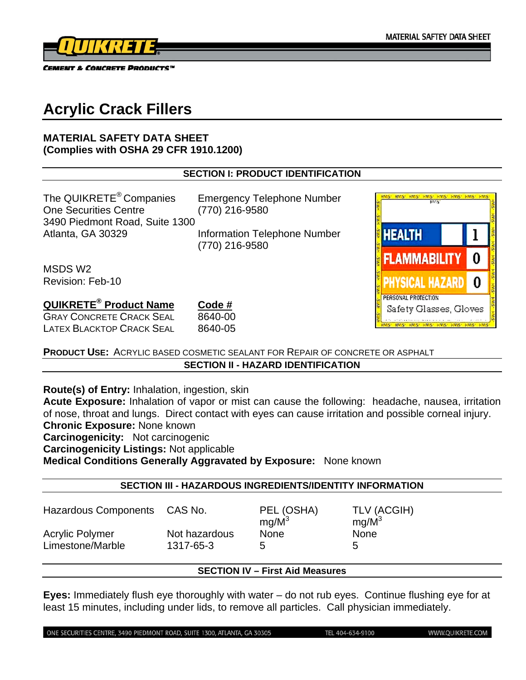AS HARS HARS HAR

**HEALTH** 

**FLAMMABILITY** 

PERSONAL PROTECTION

Hysical Hazard I

Safety Glasses, Gloves

 $\mathbf{I}$ 

0

0



CEMENT & CONCRETE PRODUCTS™

# **Acrylic Crack Fillers**

#### **MATERIAL SAFETY DATA SHEET (Complies with OSHA 29 CFR 1910.1200)**

#### **SECTION I: PRODUCT IDENTIFICATION**

The QUIKRETE<sup>®</sup> Companies Emergency Telephone Number One Securities Centre (770) 216-9580 3490 Piedmont Road, Suite 1300 Atlanta, GA 30329 Information Telephone Number

(770) 216-9580

MSDS W2 Revision: Feb-10

# **QUIKRETE® Product Name Code #**

GRAY CONCRETE CRACK SEAL 8640-00 LATEX BLACKTOP CRACK SEAL 8640-05

**PRODUCT USE:** ACRYLIC BASED COSMETIC SEALANT FOR REPAIR OF CONCRETE OR ASPHALT **SECTION II - HAZARD IDENTIFICATION** 

**Route(s) of Entry:** Inhalation, ingestion, skin

**Acute Exposure:** Inhalation of vapor or mist can cause the following: headache, nausea, irritation of nose, throat and lungs. Direct contact with eyes can cause irritation and possible corneal injury. **Chronic Exposure:** None known

**Carcinogenicity:** Not carcinogenic

**Carcinogenicity Listings:** Not applicable

**Medical Conditions Generally Aggravated by Exposure:** None known

#### **SECTION III - HAZARDOUS INGREDIENTS/IDENTITY INFORMATION**

| Hazardous Components CAS No. | PEL (OSHA)<br>$mg/M^3$ | TLV (ACGIH)<br>$mq/M^3$ |
|------------------------------|------------------------|-------------------------|
| Not hazardous                | <b>None</b>            | <b>None</b>             |
| 1317-65-3                    | 5                      | b                       |
|                              |                        |                         |

## **SECTION IV – First Aid Measures**

**Eyes:** Immediately flush eye thoroughly with water – do not rub eyes. Continue flushing eye for at least 15 minutes, including under lids, to remove all particles. Call physician immediately.

ONE SECURITIES CENTRE, 3490 PIEDMONT ROAD, SUITE 1300, ATLANTA, GA 30305

TEL 404-634-9100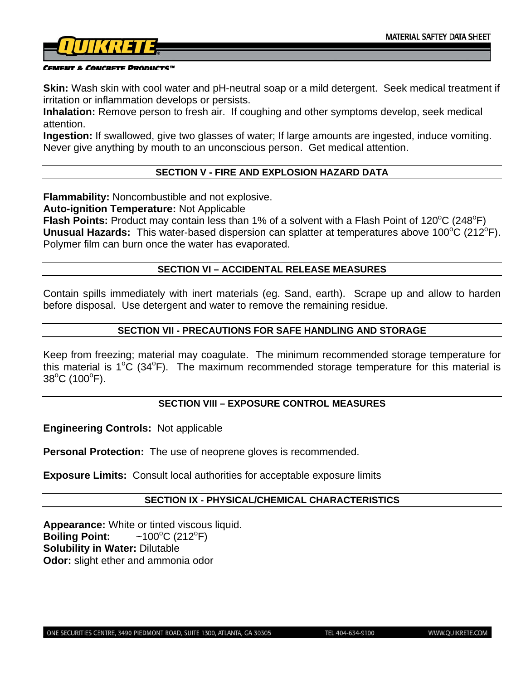

#### CEMENT & CONCRETE PRODUCTS™

**Skin:** Wash skin with cool water and pH-neutral soap or a mild detergent. Seek medical treatment if irritation or inflammation develops or persists.

**Inhalation:** Remove person to fresh air. If coughing and other symptoms develop, seek medical attention.

**Ingestion:** If swallowed, give two glasses of water; If large amounts are ingested, induce vomiting. Never give anything by mouth to an unconscious person. Get medical attention.

#### **SECTION V - FIRE AND EXPLOSION HAZARD DATA**

**Flammability:** Noncombustible and not explosive.

**Auto-ignition Temperature:** Not Applicable

Flash Points: Product may contain less than 1% of a solvent with a Flash Point of 120°C (248°F) Unusual Hazards: This water-based dispersion can splatter at temperatures above 100°C (212°F). Polymer film can burn once the water has evaporated.

#### **SECTION VI – ACCIDENTAL RELEASE MEASURES**

Contain spills immediately with inert materials (eg. Sand, earth). Scrape up and allow to harden before disposal. Use detergent and water to remove the remaining residue.

#### **SECTION VII - PRECAUTIONS FOR SAFE HANDLING AND STORAGE**

Keep from freezing; material may coagulate. The minimum recommended storage temperature for this material is  $1^{\circ}C$  (34°F). The maximum recommended storage temperature for this material is  $38^{\circ}$ C (100 $^{\circ}$ F).

#### **SECTION VIII – EXPOSURE CONTROL MEASURES**

**Engineering Controls:** Not applicable

**Personal Protection:** The use of neoprene gloves is recommended.

**Exposure Limits:** Consult local authorities for acceptable exposure limits

#### **SECTION IX - PHYSICAL/CHEMICAL CHARACTERISTICS**

**Appearance:** White or tinted viscous liquid. **Boiling Point:**  $C(212^{\circ}F)$ **Solubility in Water:** Dilutable **Odor:** slight ether and ammonia odor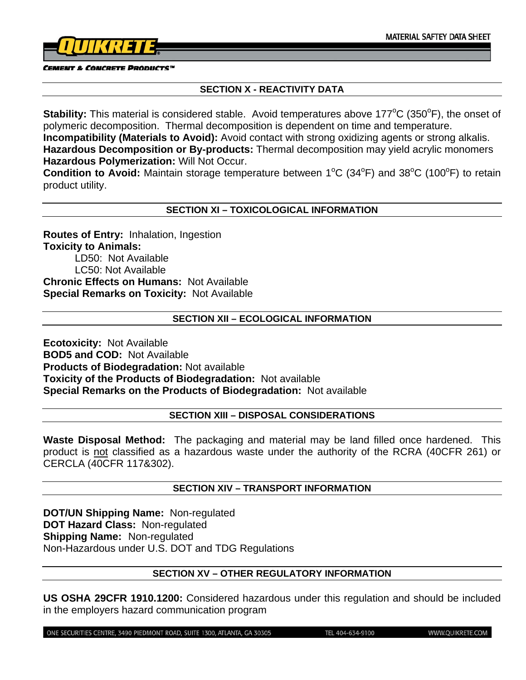

**CEMENT & CONCRETE PRODUCTS"** 

### **SECTION X - REACTIVITY DATA**

Stability: This material is considered stable. Avoid temperatures above 177°C (350°F), the onset of polymeric decomposition. Thermal decomposition is dependent on time and temperature. **Incompatibility (Materials to Avoid):** Avoid contact with strong oxidizing agents or strong alkalis. **Hazardous Decomposition or By-products:** Thermal decomposition may yield acrylic monomers **Hazardous Polymerization:** Will Not Occur.

Condition to Avoid: Maintain storage temperature between 1<sup>o</sup>C (34<sup>o</sup>F) and 38<sup>o</sup>C (100<sup>o</sup>F) to retain product utility.

#### **SECTION XI – TOXICOLOGICAL INFORMATION**

**Routes of Entry:** Inhalation, Ingestion **Toxicity to Animals:**  LD50: Not Available LC50: Not Available **Chronic Effects on Humans:** Not Available **Special Remarks on Toxicity:** Not Available

#### **SECTION XII – ECOLOGICAL INFORMATION**

**Ecotoxicity:** Not Available **BOD5 and COD:** Not Available **Products of Biodegradation:** Not available **Toxicity of the Products of Biodegradation:** Not available **Special Remarks on the Products of Biodegradation:** Not available

#### **SECTION XIII – DISPOSAL CONSIDERATIONS**

**Waste Disposal Method:** The packaging and material may be land filled once hardened. This product is not classified as a hazardous waste under the authority of the RCRA (40CFR 261) or CERCLA (40CFR 117&302).

#### **SECTION XIV – TRANSPORT INFORMATION**

**DOT/UN Shipping Name:** Non-regulated **DOT Hazard Class:** Non-regulated **Shipping Name:** Non-regulated Non-Hazardous under U.S. DOT and TDG Regulations

#### **SECTION XV – OTHER REGULATORY INFORMATION**

**US OSHA 29CFR 1910.1200:** Considered hazardous under this regulation and should be included in the employers hazard communication program

ONE SECURITIES CENTRE, 3490 PIEDMONT ROAD, SUITE 1300, ATLANTA, GA 30305

TEL 404-634-9100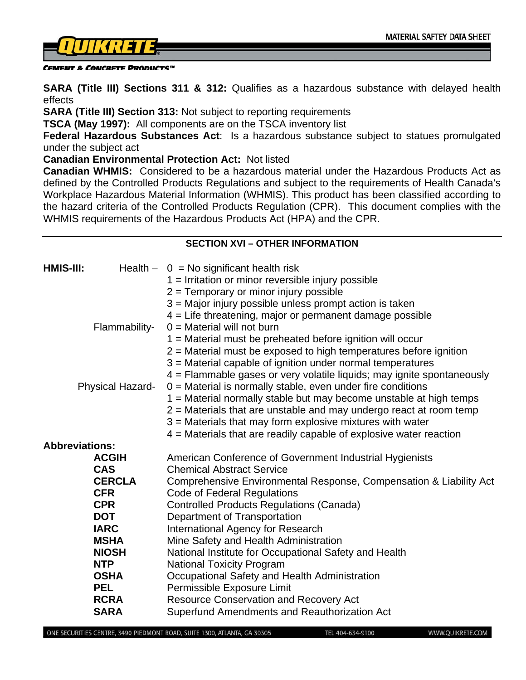

#### CEMENT & CONCRETE PRODUCTS™

**SARA (Title III) Sections 311 & 312:** Qualifies as a hazardous substance with delayed health effects

**SARA (Title III) Section 313:** Not subject to reporting requirements

**TSCA (May 1997):** All components are on the TSCA inventory list

**Federal Hazardous Substances Act**: Is a hazardous substance subject to statues promulgated under the subject act

**Canadian Environmental Protection Act:** Not listed

**Canadian WHMIS:** Considered to be a hazardous material under the Hazardous Products Act as defined by the Controlled Products Regulations and subject to the requirements of Health Canada's Workplace Hazardous Material Information (WHMIS). This product has been classified according to the hazard criteria of the Controlled Products Regulation (CPR). This document complies with the WHMIS requirements of the Hazardous Products Act (HPA) and the CPR.

| <b>SECTION XVI - OTHER INFORMATION</b> |                           |                                                                            |  |
|----------------------------------------|---------------------------|----------------------------------------------------------------------------|--|
| $HMIS-III:$                            |                           | Health $-$ 0 = No significant health risk                                  |  |
|                                        |                           | $1 =$ Irritation or minor reversible injury possible                       |  |
|                                        |                           | $2 =$ Temporary or minor injury possible                                   |  |
|                                        |                           | 3 = Major injury possible unless prompt action is taken                    |  |
|                                        |                           | 4 = Life threatening, major or permanent damage possible                   |  |
|                                        | Flammability-             | $0 =$ Material will not burn                                               |  |
|                                        |                           | 1 = Material must be preheated before ignition will occur                  |  |
|                                        |                           | $2$ = Material must be exposed to high temperatures before ignition        |  |
|                                        |                           | 3 = Material capable of ignition under normal temperatures                 |  |
|                                        |                           | 4 = Flammable gases or very volatile liquids; may ignite spontaneously     |  |
|                                        | <b>Physical Hazard-</b>   | $0 =$ Material is normally stable, even under fire conditions              |  |
|                                        |                           | 1 = Material normally stable but may become unstable at high temps         |  |
|                                        |                           | $2$ = Materials that are unstable and may undergo react at room temp       |  |
|                                        |                           | $3$ = Materials that may form explosive mixtures with water                |  |
|                                        |                           | $4$ = Materials that are readily capable of explosive water reaction       |  |
| <b>Abbreviations:</b>                  |                           |                                                                            |  |
|                                        | <b>ACGIH</b>              | American Conference of Government Industrial Hygienists                    |  |
|                                        | <b>CAS</b>                | <b>Chemical Abstract Service</b>                                           |  |
|                                        | <b>CERCLA</b>             | Comprehensive Environmental Response, Compensation & Liability Act         |  |
|                                        | <b>CFR</b>                | <b>Code of Federal Regulations</b>                                         |  |
|                                        | <b>CPR</b>                | <b>Controlled Products Regulations (Canada)</b>                            |  |
|                                        | <b>DOT</b><br><b>IARC</b> | Department of Transportation                                               |  |
|                                        | <b>MSHA</b>               | International Agency for Research<br>Mine Safety and Health Administration |  |
|                                        | <b>NIOSH</b>              | National Institute for Occupational Safety and Health                      |  |
|                                        | <b>NTP</b>                | <b>National Toxicity Program</b>                                           |  |
|                                        | <b>OSHA</b>               | Occupational Safety and Health Administration                              |  |
|                                        | <b>PEL</b>                | Permissible Exposure Limit                                                 |  |
|                                        | <b>RCRA</b>               | <b>Resource Conservation and Recovery Act</b>                              |  |
|                                        | <b>SARA</b>               | Superfund Amendments and Reauthorization Act                               |  |
|                                        |                           |                                                                            |  |